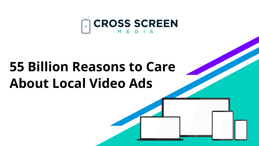

# **55 Billion Reasons to Care About Local Video Ads**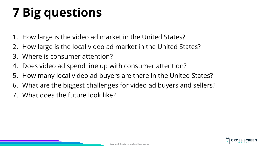# **7 Big questions**

- 1. How large is the video ad market in the United States?
- 2. How large is the local video ad market in the United States?
- 3. Where is consumer attention?
- 4. Does video ad spend line up with consumer attention?
- 5. How many local video ad buyers are there in the United States?
- 6. What are the biggest challenges for video ad buyers and sellers?
- 7. What does the future look like?

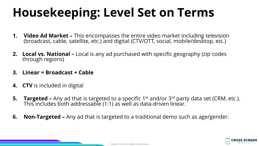# **Housekeeping: Level Set on Terms**

- **1. Video Ad Market –** This encompasses the entire video market including television (broadcast, cable, satellite, etc.) and digital (CTV/OTT, social, mobile/desktop, etc.)
- **2. Local vs. National** Local is any ad purchased with specific geography (zip codes through regions)
- **3. Linear = Broadcast + Cable**
- **4. CTV** is included in digital
- **5. Targeted** Any ad that is targeted to a specific 1<sup>st</sup> and/or 3<sup>rd</sup> party data set (CRM, etc.). This includes both addressable (1:1) as well as data-driven linear.
- **6. Non-Targeted –** Any ad that is targeted to a traditional demo such as age/gender.

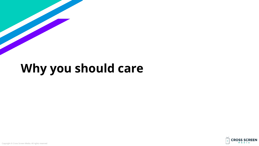## **Why you should care**



Copyright © Cross Screen Media. All rights reserved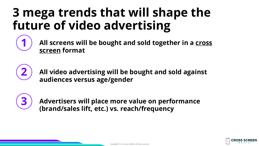## **3 mega trends that will shape the future of video advertising**

**All screens will be bought and sold together in a cross screen format**



**1**

**All video advertising will be bought and sold against audiences versus age/gender**



**Advertisers will place more value on performance (brand/sales lift, etc.) vs. reach/frequency**

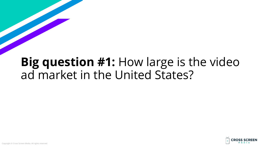#### **Big question #1:** How large is the video ad market in the United States?

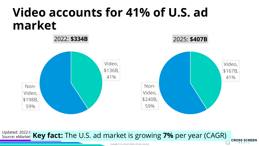#### **Video accounts for 41% of U.S. ad market**



Updated: 2022-C Source: eMarket Key fact: The U.S. ad market is growing **7%** per year (CAGR)

Copyright © Cross Screen Media. All rights reserved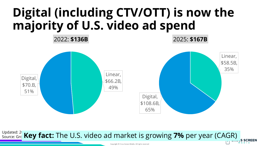#### **Digital (including CTV/OTT) is now the majority of U.S. video ad spend**

#### 2022: **\$136B**

2025: **\$167B**



<sup>Updated: 21</sup> **Key fact:** The U.S. video ad market is growing **7%** per year (CAGR)

Copyright © Cross Screen Media, All rights reserved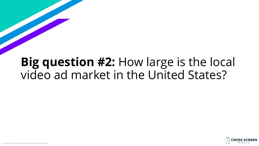#### **Big question #2:** How large is the local video ad market in the United States?

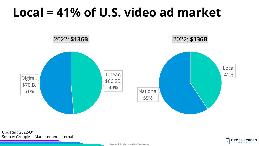#### **Local = 41% of U.S. video ad market**



Updated: 2022-Q1 Source: GroupM, eMarketer and internal

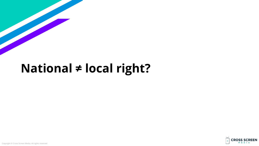### **National ≠ local right?**

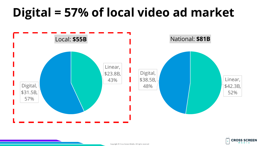# **Digital = 57% of local video ad market**



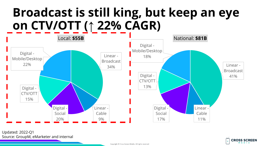#### **Broadcast is still king, but keep an eye on CTV/OTT (↑ 22% CAGR)**



Updated: 2022-Q1 Source: GroupM, eMarketer and internal

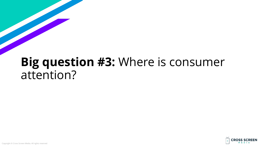#### **Big question #3:** Where is consumer attention?

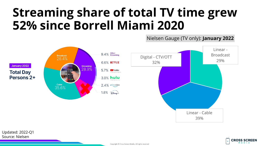#### **Streaming share of total TV time grew 52% since Borrell Miami 2020**



Nielsen Gauge (TV only): **January 2022**

Updated: 2022-Q1 Source: Nielsen

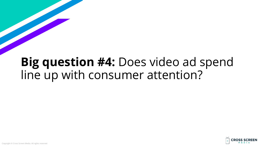#### **Big question #4:** Does video ad spend line up with consumer attention?

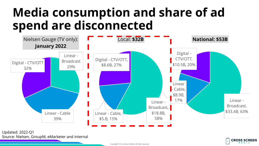#### **Media consumption and share of ad spend are disconnected**



Updated: 2022-Q1 Source: Nielsen, GroupM, eMarketer and internal

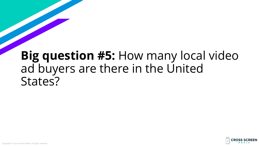#### **Big question #5:** How many local video ad buyers are there in the United States?

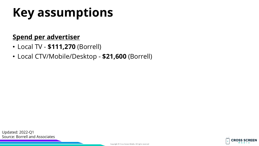# **Key assumptions**

#### **Spend per advertiser**

- Local TV **\$111,270** (Borrell)
- Local CTV/Mobile/Desktop **\$21,600** (Borrell)

Updated: 2022-Q1 Source: Borrell and Associates

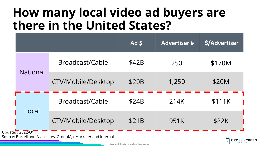#### **How many local video ad buyers are there in the United States?**

|                                                                                    |                    | AdS   | <b>Advertiser#</b> | \$/Advertiser       |
|------------------------------------------------------------------------------------|--------------------|-------|--------------------|---------------------|
| <b>National</b>                                                                    | Broadcast/Cable    | \$42B | 250                | \$170M              |
|                                                                                    | CTV/Mobile/Desktop | \$20B | 1,250              | \$20M               |
| Local                                                                              | Broadcast/Cable    | \$24B | 214K               | \$111K              |
|                                                                                    | CTV/Mobile/Desktop | \$21B | 951K               | \$22K               |
| Updated: 2022-Q1<br>Source: Borrell and Associates, GroupM, eMarketer and internal |                    |       |                    | <b>CROSS SCREEN</b> |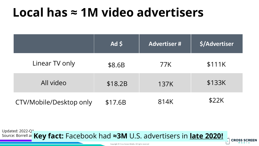#### **Local has ≈ 1M video advertisers**

|                         | Ad <sub>5</sub> | <b>Advertiser#</b> | \$/Advertiser |
|-------------------------|-----------------|--------------------|---------------|
| Linear TV only          | \$8.6B          | 77K                | \$111K        |
| All video               | \$18.2B         | 137K               | \$133K        |
| CTV/Mobile/Desktop only | \$17.6B         | 814K               | \$22K         |

Updated: 2022-Q1 Source: Borrell and Key fact: Facebook had ≈3M U.S. advertisers in late 2020!



Copyright © Cross Screen Media. All rights reserved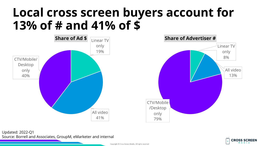#### **Local cross screen buyers account for 13% of # and 41% of \$**



#### Updated: 2022-Q1 Source: Borrell and Associates, GroupM, eMarketer and internal

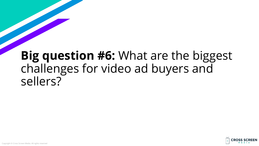#### **Big question #6:** What are the biggest challenges for video ad buyers and sellers?

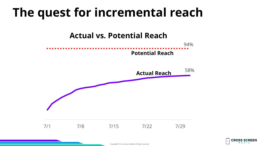## **The quest for incremental reach**



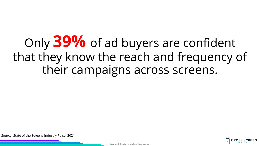Only **39%** of ad buyers are confident that they know the reach and frequency of their campaigns across screens.

Source: State of the Screens Industry Pulse, 2021

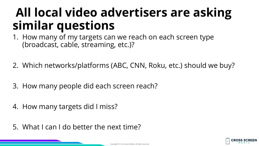## **All local video advertisers are asking similar questions**

- 1. How many of my targets can we reach on each screen type (broadcast, cable, streaming, etc.)?
- 2. Which networks/platforms (ABC, CNN, Roku, etc.) should we buy?
- 3. How many people did each screen reach?
- 4. How many targets did I miss?
- 5. What I can I do better the next time?

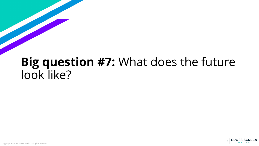#### **Big question #7:** What does the future look like?

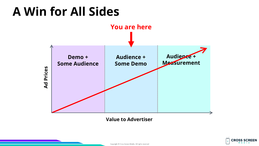#### **A Win for All Sides**



#### **Value to Advertiser**